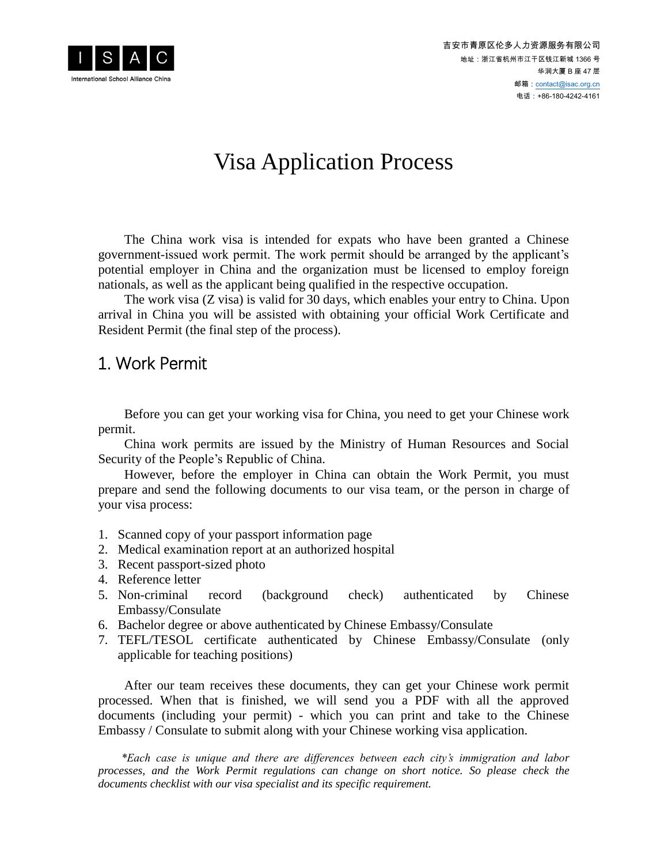

# Visa Application Process

The China work visa is intended for expats who have been granted a Chinese government-issued work permit. The work permit should be arranged by the applicant's potential employer in China and the organization must be licensed to employ foreign nationals, as well as the applicant being qualified in the respective occupation.

The work visa (Z visa) is valid for 30 days, which enables your entry to China. Upon arrival in China you will be assisted with obtaining your official Work Certificate and Resident Permit (the final step of the process).

### 1. Work Permit

Before you can get your working visa for China, you need to get your Chinese work permit.

China work permits are issued by the Ministry of Human Resources and Social Security of the People's Republic of China.

However, before the employer in China can obtain the Work Permit, you must prepare and send the following documents to our visa team, or the person in charge of your visa process:

- 1. Scanned copy of your passport information page
- 2. Medical examination report at an authorized hospital
- 3. Recent passport-sized photo
- 4. Reference letter
- 5. Non-criminal record (background check) authenticated by Chinese Embassy/Consulate
- 6. Bachelor degree or above authenticated by Chinese Embassy/Consulate
- 7. TEFL/TESOL certificate authenticated by Chinese Embassy/Consulate (only applicable for teaching positions)

After our team receives these documents, they can get your Chinese work permit processed. When that is finished, we will send you a PDF with all the approved documents (including your permit) - which you can print and take to the Chinese Embassy / Consulate to submit along with your Chinese working visa application.

*\*Each case is unique and there are differences between each city's immigration and labor processes, and the Work Permit regulations can change on short notice. So please check the documents checklist with our visa specialist and its specific requirement.*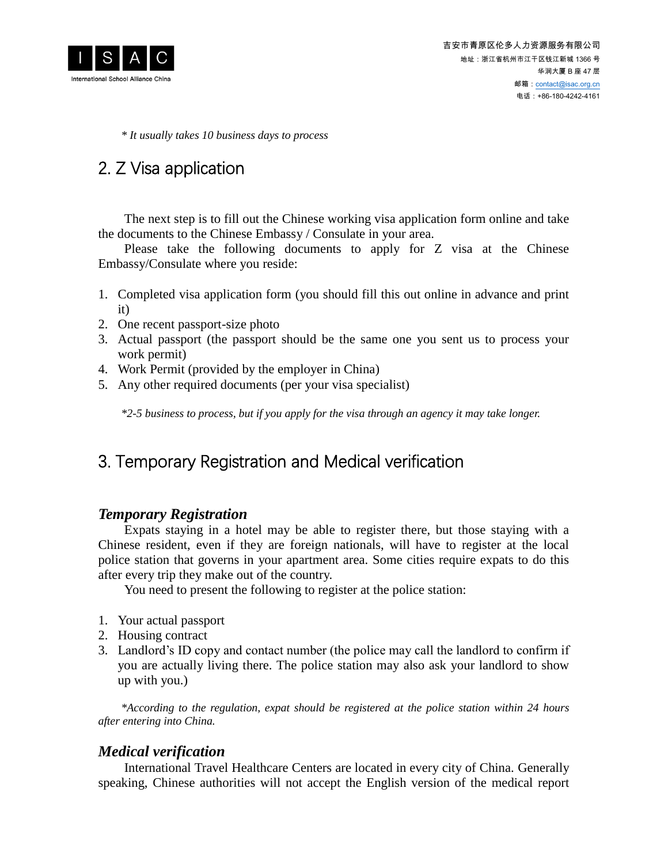

*\* It usually takes 10 business days to process*

# 2. Z Visa application

The next step is to fill out the Chinese working visa application form online and take the documents to the Chinese Embassy / Consulate in your area.

Please take the following documents to apply for Z visa at the Chinese Embassy/Consulate where you reside:

- 1. Completed visa application form (you should fill this out online in advance and print it)
- 2. One recent passport-size photo
- 3. Actual passport (the passport should be the same one you sent us to process your work permit)
- 4. Work Permit (provided by the employer in China)
- 5. Any other required documents (per your visa specialist)

*\*2-5 business to process, but if you apply for the visa through an agency it may take longer.*

### 3. Temporary Registration and Medical verification

#### *Temporary Registration*

Expats staying in a hotel may be able to register there, but those staying with a Chinese resident, even if they are foreign nationals, will have to register at the local police station that governs in your apartment area. Some cities require expats to do this after every trip they make out of the country.

You need to present the following to register at the police station:

- 1. Your actual passport
- 2. Housing contract
- 3. Landlord's ID copy and contact number (the police may call the landlord to confirm if you are actually living there. The police station may also ask your landlord to show up with you.)

*\*According to the regulation, expat should be registered at the police station within 24 hours after entering into China.*

#### *Medical verification*

International Travel Healthcare Centers are located in every city of China. Generally speaking, Chinese authorities will not accept the English version of the medical report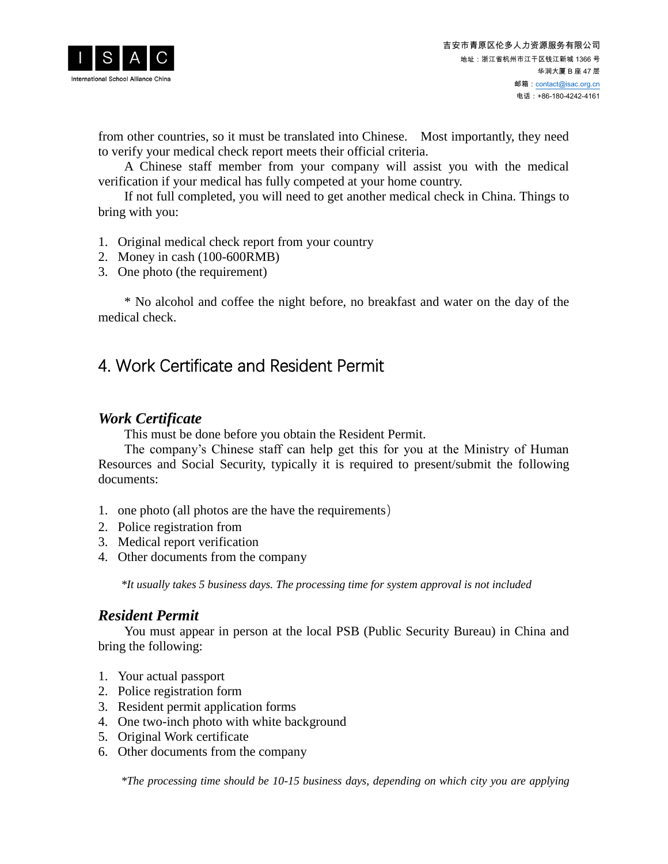

from other countries, so it must be translated into Chinese. Most importantly, they need to verify your medical check report meets their official criteria.

A Chinese staff member from your company will assist you with the medical verification if your medical has fully competed at your home country.

If not full completed, you will need to get another medical check in China. Things to bring with you:

- 1. Original medical check report from your country
- 2. Money in cash (100-600RMB)
- 3. One photo (the requirement)

\* No alcohol and coffee the night before, no breakfast and water on the day of the medical check.

## 4. Work Certificate and Resident Permit

#### *Work Certificate*

This must be done before you obtain the Resident Permit.

The company's Chinese staff can help get this for you at the Ministry of Human Resources and Social Security, typically it is required to present/submit the following documents:

- 1. one photo (all photos are the have the requirements)
- 2. Police registration from
- 3. Medical report verification
- 4. Other documents from the company

*\*It usually takes 5 business days. The processing time for system approval is not included*

#### *Resident Permit*

You must appear in person at the local PSB (Public Security Bureau) in China and bring the following:

- 1. Your actual passport
- 2. Police registration form
- 3. Resident permit application forms
- 4. One two-inch photo with white background
- 5. Original Work certificate
- 6. Other documents from the company

*\*The processing time should be 10-15 business days, depending on which city you are applying*